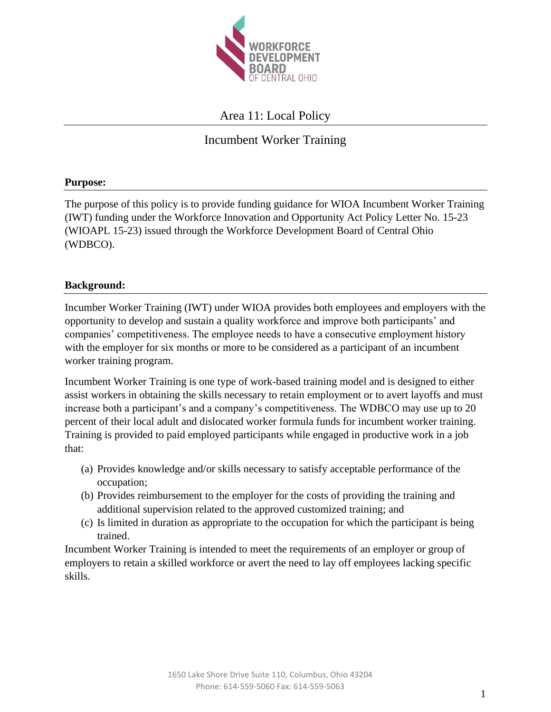

# Area 11: Local Policy

# Incumbent Worker Training

### **Purpose:**

The purpose of this policy is to provide funding guidance for WIOA Incumbent Worker Training (IWT) funding under the Workforce Innovation and Opportunity Act Policy Letter No. 15-23 (WIOAPL 15-23) issued through the Workforce Development Board of Central Ohio (WDBCO).

### **Background:**

Incumber Worker Training (IWT) under WIOA provides both employees and employers with the opportunity to develop and sustain a quality workforce and improve both participants' and companies' competitiveness. The employee needs to have a consecutive employment history with the employer for six months or more to be considered as a participant of an incumbent worker training program.

Incumbent Worker Training is one type of work-based training model and is designed to either assist workers in obtaining the skills necessary to retain employment or to avert layoffs and must increase both a participant's and a company's competitiveness. The WDBCO may use up to 20 percent of their local adult and dislocated worker formula funds for incumbent worker training. Training is provided to paid employed participants while engaged in productive work in a job that:

- (a) Provides knowledge and/or skills necessary to satisfy acceptable performance of the occupation;
- (b) Provides reimbursement to the employer for the costs of providing the training and additional supervision related to the approved customized training; and
- (c) Is limited in duration as appropriate to the occupation for which the participant is being trained.

Incumbent Worker Training is intended to meet the requirements of an employer or group of employers to retain a skilled workforce or avert the need to lay off employees lacking specific skills.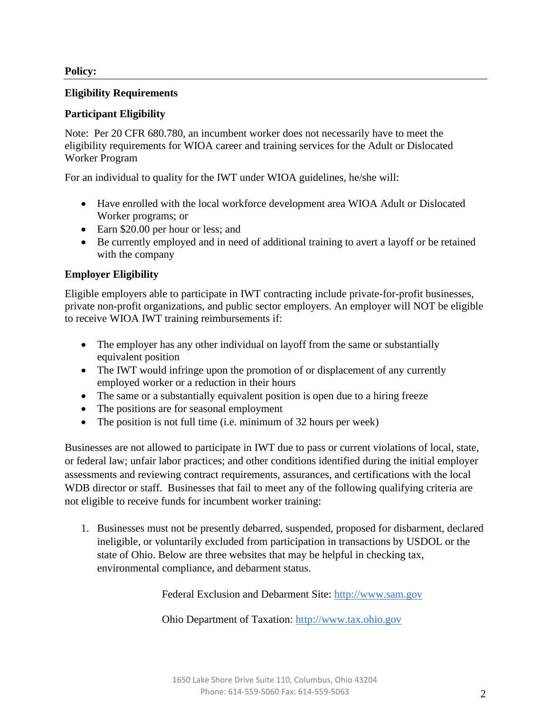### **Policy:**

### **Eligibility Requirements**

# **Participant Eligibility**

Note: Per 20 CFR 680.780, an incumbent worker does not necessarily have to meet the eligibility requirements for WIOA career and training services for the Adult or Dislocated Worker Program

For an individual to quality for the IWT under WIOA guidelines, he/she will:

- Have enrolled with the local workforce development area WIOA Adult or Dislocated Worker programs; or
- Earn \$20.00 per hour or less; and
- Be currently employed and in need of additional training to avert a layoff or be retained with the company

# **Employer Eligibility**

Eligible employers able to participate in IWT contracting include private-for-profit businesses, private non-profit organizations, and public sector employers. An employer will NOT be eligible to receive WIOA IWT training reimbursements if:

- The employer has any other individual on layoff from the same or substantially equivalent position
- The IWT would infringe upon the promotion of or displacement of any currently employed worker or a reduction in their hours
- The same or a substantially equivalent position is open due to a hiring freeze
- The positions are for seasonal employment
- The position is not full time (i.e. minimum of 32 hours per week)

Businesses are not allowed to participate in IWT due to pass or current violations of local, state, or federal law; unfair labor practices; and other conditions identified during the initial employer assessments and reviewing contract requirements, assurances, and certifications with the local WDB director or staff. Businesses that fail to meet any of the following qualifying criteria are not eligible to receive funds for incumbent worker training:

1. Businesses must not be presently debarred, suspended, proposed for disbarment, declared ineligible, or voluntarily excluded from participation in transactions by USDOL or the state of Ohio. Below are three websites that may be helpful in checking tax, environmental compliance, and debarment status.

Federal Exclusion and Debarment Site: [http://www.sam.gov](http://www.sam.gov/)

Ohio Department of Taxation: [http://www.tax.ohio.gov](http://www.tax.ohio.gov/)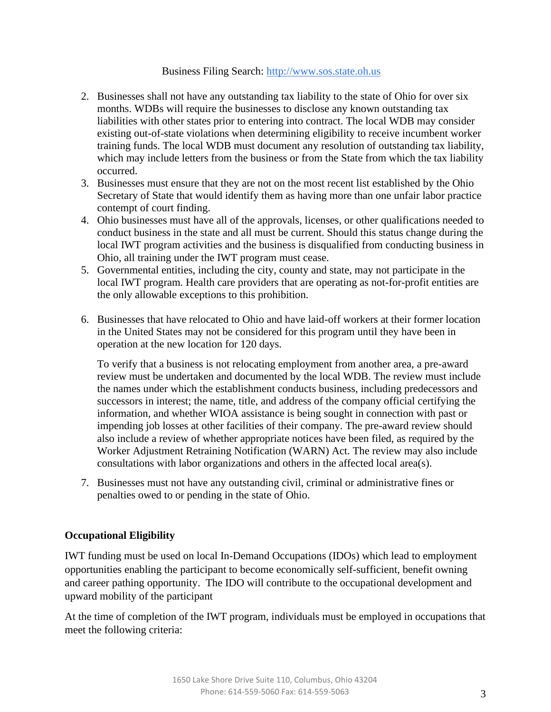#### Business Filing Search: [http://www.sos.state.oh.us](http://www.sos.state.oh.us/)

- 2. Businesses shall not have any outstanding tax liability to the state of Ohio for over six months. WDBs will require the businesses to disclose any known outstanding tax liabilities with other states prior to entering into contract. The local WDB may consider existing out-of-state violations when determining eligibility to receive incumbent worker training funds. The local WDB must document any resolution of outstanding tax liability, which may include letters from the business or from the State from which the tax liability occurred.
- 3. Businesses must ensure that they are not on the most recent list established by the Ohio Secretary of State that would identify them as having more than one unfair labor practice contempt of court finding.
- 4. Ohio businesses must have all of the approvals, licenses, or other qualifications needed to conduct business in the state and all must be current. Should this status change during the local IWT program activities and the business is disqualified from conducting business in Ohio, all training under the IWT program must cease.
- 5. Governmental entities, including the city, county and state, may not participate in the local IWT program. Health care providers that are operating as not-for-profit entities are the only allowable exceptions to this prohibition.
- 6. Businesses that have relocated to Ohio and have laid-off workers at their former location in the United States may not be considered for this program until they have been in operation at the new location for 120 days.

To verify that a business is not relocating employment from another area, a pre-award review must be undertaken and documented by the local WDB. The review must include the names under which the establishment conducts business, including predecessors and successors in interest; the name, title, and address of the company official certifying the information, and whether WIOA assistance is being sought in connection with past or impending job losses at other facilities of their company. The pre-award review should also include a review of whether appropriate notices have been filed, as required by the Worker Adjustment Retraining Notification (WARN) Act. The review may also include consultations with labor organizations and others in the affected local area(s).

7. Businesses must not have any outstanding civil, criminal or administrative fines or penalties owed to or pending in the state of Ohio.

#### **Occupational Eligibility**

IWT funding must be used on local In-Demand Occupations (IDOs) which lead to employment opportunities enabling the participant to become economically self-sufficient, benefit owning and career pathing opportunity. The IDO will contribute to the occupational development and upward mobility of the participant

At the time of completion of the IWT program, individuals must be employed in occupations that meet the following criteria: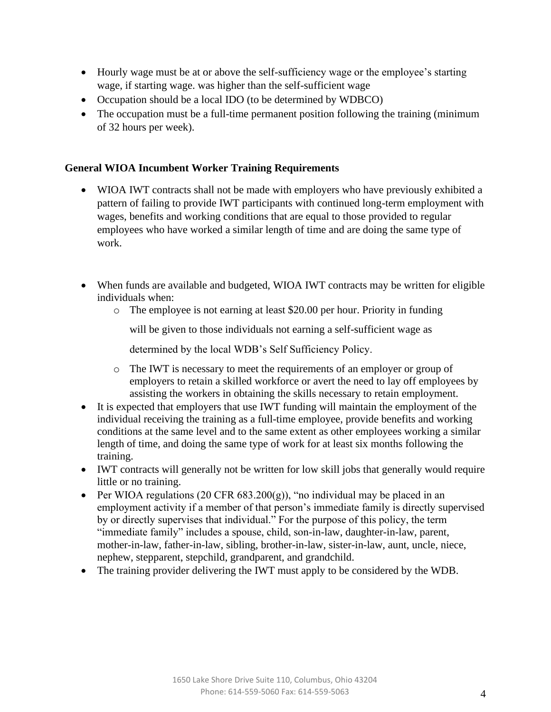- Hourly wage must be at or above the self-sufficiency wage or the employee's starting wage, if starting wage. was higher than the self-sufficient wage
- Occupation should be a local IDO (to be determined by WDBCO)
- The occupation must be a full-time permanent position following the training (minimum of 32 hours per week).

### **General WIOA Incumbent Worker Training Requirements**

- WIOA IWT contracts shall not be made with employers who have previously exhibited a pattern of failing to provide IWT participants with continued long-term employment with wages, benefits and working conditions that are equal to those provided to regular employees who have worked a similar length of time and are doing the same type of work.
- When funds are available and budgeted, WIOA IWT contracts may be written for eligible individuals when:
	- o The employee is not earning at least \$20.00 per hour. Priority in funding

will be given to those individuals not earning a self-sufficient wage as

determined by the local WDB's Self Sufficiency Policy.

- o The IWT is necessary to meet the requirements of an employer or group of employers to retain a skilled workforce or avert the need to lay off employees by assisting the workers in obtaining the skills necessary to retain employment.
- It is expected that employers that use IWT funding will maintain the employment of the individual receiving the training as a full-time employee, provide benefits and working conditions at the same level and to the same extent as other employees working a similar length of time, and doing the same type of work for at least six months following the training.
- IWT contracts will generally not be written for low skill jobs that generally would require little or no training.
- Per WIOA regulations (20 CFR 683.200(g)), "no individual may be placed in an employment activity if a member of that person's immediate family is directly supervised by or directly supervises that individual." For the purpose of this policy, the term "immediate family" includes a spouse, child, son-in-law, daughter-in-law, parent, mother-in-law, father-in-law, sibling, brother-in-law, sister-in-law, aunt, uncle, niece, nephew, stepparent, stepchild, grandparent, and grandchild.
- The training provider delivering the IWT must apply to be considered by the WDB.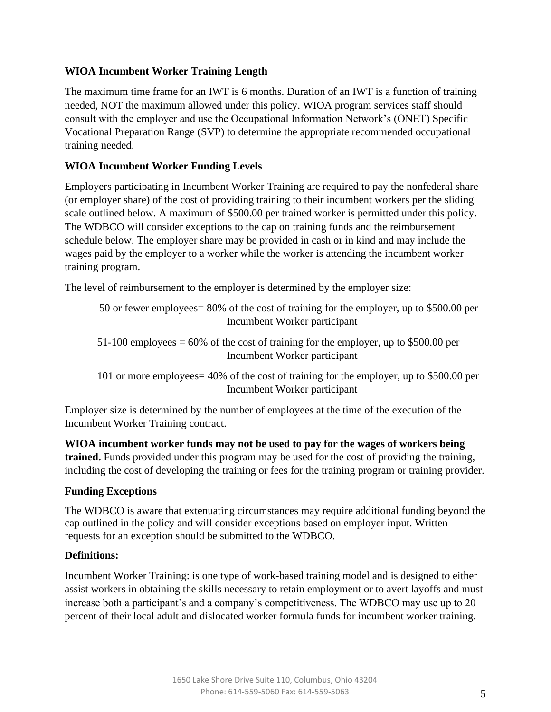# **WIOA Incumbent Worker Training Length**

The maximum time frame for an IWT is 6 months. Duration of an IWT is a function of training needed, NOT the maximum allowed under this policy. WIOA program services staff should consult with the employer and use the Occupational Information Network's (ONET) Specific Vocational Preparation Range (SVP) to determine the appropriate recommended occupational training needed.

# **WIOA Incumbent Worker Funding Levels**

Employers participating in Incumbent Worker Training are required to pay the nonfederal share (or employer share) of the cost of providing training to their incumbent workers per the sliding scale outlined below. A maximum of \$500.00 per trained worker is permitted under this policy. The WDBCO will consider exceptions to the cap on training funds and the reimbursement schedule below. The employer share may be provided in cash or in kind and may include the wages paid by the employer to a worker while the worker is attending the incumbent worker training program.

The level of reimbursement to the employer is determined by the employer size:

```
50 or fewer employees= 80% of the cost of training for the employer, up to $500.00 per 
                Incumbent Worker participant
```
51-100 employees  $= 60\%$  of the cost of training for the employer, up to \$500.00 per Incumbent Worker participant

101 or more employees= 40% of the cost of training for the employer, up to \$500.00 per Incumbent Worker participant

Employer size is determined by the number of employees at the time of the execution of the Incumbent Worker Training contract.

**WIOA incumbent worker funds may not be used to pay for the wages of workers being trained.** Funds provided under this program may be used for the cost of providing the training, including the cost of developing the training or fees for the training program or training provider.

# **Funding Exceptions**

The WDBCO is aware that extenuating circumstances may require additional funding beyond the cap outlined in the policy and will consider exceptions based on employer input. Written requests for an exception should be submitted to the WDBCO.

### **Definitions:**

Incumbent Worker Training: is one type of work-based training model and is designed to either assist workers in obtaining the skills necessary to retain employment or to avert layoffs and must increase both a participant's and a company's competitiveness. The WDBCO may use up to 20 percent of their local adult and dislocated worker formula funds for incumbent worker training.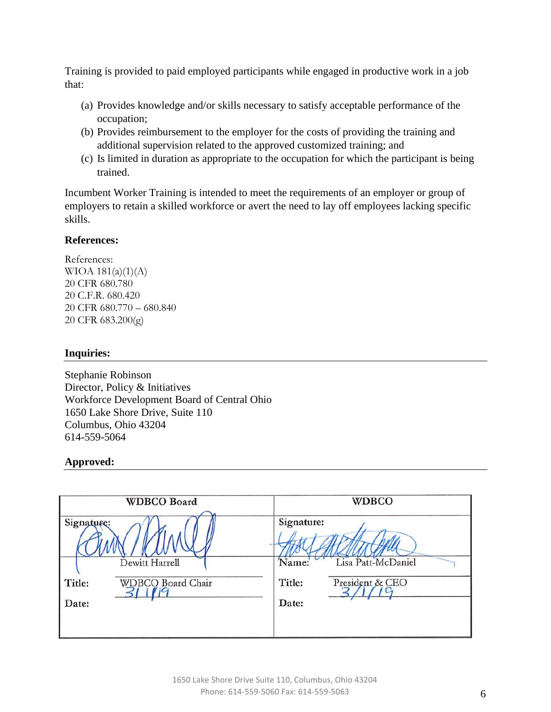Training is provided to paid employed participants while engaged in productive work in a job that:

- (a) Provides knowledge and/or skills necessary to satisfy acceptable performance of the occupation;
- (b) Provides reimbursement to the employer for the costs of providing the training and additional supervision related to the approved customized training; and
- (c) Is limited in duration as appropriate to the occupation for which the participant is being trained.

Incumbent Worker Training is intended to meet the requirements of an employer or group of employers to retain a skilled workforce or avert the need to lay off employees lacking specific skills.

### **References:**

References: WIOA  $181(a)(1)(A)$ 20 CFR 680.780 20 C.F.R. 680.420 20 CFR 680.770 – 680.840 20 CFR 683.200(g)

### **Inquiries:**

Stephanie Robinson Director, Policy & Initiatives Workforce Development Board of Central Ohio 1650 Lake Shore Drive, Suite 110 Columbus, Ohio 43204 614-559-5064

# **Approved:**

|                               | <b>WDBCO Board</b>                         | <b>WDBCO</b>                                                                    |
|-------------------------------|--------------------------------------------|---------------------------------------------------------------------------------|
| Signature:<br>Title:<br>Date: | Dewitt Harrell<br><b>WDBCO Board Chair</b> | Signature:<br>Lisa Patt-McDaniel<br>Name:<br>Title:<br>President & CEO<br>Date: |
|                               |                                            |                                                                                 |